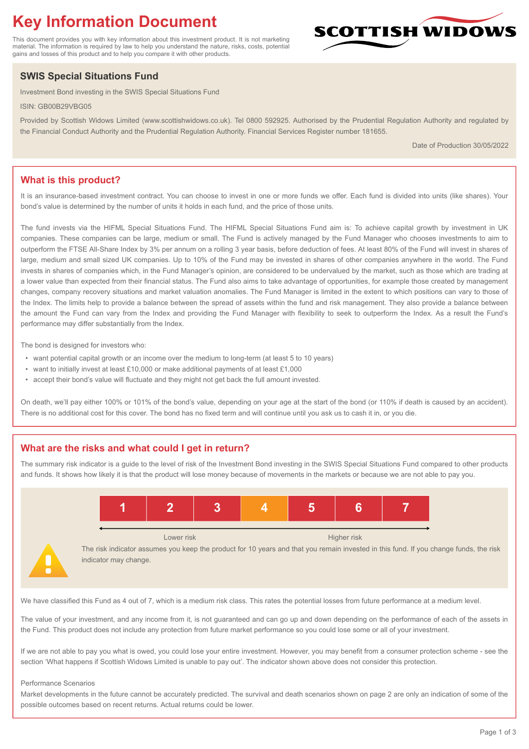# **Key Information Document**

This document provides you with key information about this investment product. It is not marketing material. The information is required by law to help you understand the nature, risks, costs, potential gains and losses of this product and to help you compare it with other products.

## **SWIS Special Situations Fund**

Investment Bond investing in the SWIS Special Situations Fund

ISIN: GB00B29VBG05

Provided by Scottish Widows Limited (www.scottishwidows.co.uk). Tel 0800 592925. Authorised by the Prudential Regulation Authority and regulated by the Financial Conduct Authority and the Prudential Regulation Authority. Financial Services Register number 181655.

Date of Production 30/05/2022

### **What is this product?**

It is an insurance-based investment contract. You can choose to invest in one or more funds we offer. Each fund is divided into units (like shares). Your bond's value is determined by the number of units it holds in each fund, and the price of those units.

The fund invests via the HIFML Special Situations Fund. The HIFML Special Situations Fund aim is: To achieve capital growth by investment in UK companies. These companies can be large, medium or small. The Fund is actively managed by the Fund Manager who chooses investments to aim to outperform the FTSE All-Share Index by 3% per annum on a rolling 3 year basis, before deduction of fees. At least 80% of the Fund will invest in shares of large, medium and small sized UK companies. Up to 10% of the Fund may be invested in shares of other companies anywhere in the world. The Fund invests in shares of companies which, in the Fund Manager's opinion, are considered to be undervalued by the market, such as those which are trading at a lower value than expected from their financial status. The Fund also aims to take advantage of opportunities, for example those created by management changes, company recovery situations and market valuation anomalies. The Fund Manager is limited in the extent to which positions can vary to those of the Index. The limits help to provide a balance between the spread of assets within the fund and risk management. They also provide a balance between the amount the Fund can vary from the Index and providing the Fund Manager with flexibility to seek to outperform the Index. As a result the Fund's performance may differ substantially from the Index.

The bond is designed for investors who:

- want potential capital growth or an income over the medium to long-term (at least 5 to 10 years)
- want to initially invest at least £10,000 or make additional payments of at least £1,000
- accept their bond's value will fluctuate and they might not get back the full amount invested.

On death, we'll pay either 100% or 101% of the bond's value, depending on your age at the start of the bond (or 110% if death is caused by an accident). There is no additional cost for this cover. The bond has no fixed term and will continue until you ask us to cash it in, or you die.

## **What are the risks and what could I get in return?**

The summary risk indicator is a guide to the level of risk of the Investment Bond investing in the SWIS Special Situations Fund compared to other products and funds. It shows how likely it is that the product will lose money because of movements in the markets or because we are not able to pay you.



We have classified this Fund as 4 out of 7, which is a medium risk class. This rates the potential losses from future performance at a medium level.

The value of your investment, and any income from it, is not guaranteed and can go up and down depending on the performance of each of the assets in the Fund. This product does not include any protection from future market performance so you could lose some or all of your investment.

If we are not able to pay you what is owed, you could lose your entire investment. However, you may benefit from a consumer protection scheme - see the section 'What happens if Scottish Widows Limited is unable to pay out'. The indicator shown above does not consider this protection.

#### Performance Scenarios

Market developments in the future cannot be accurately predicted. The survival and death scenarios shown on page 2 are only an indication of some of the possible outcomes based on recent returns. Actual returns could be lower.

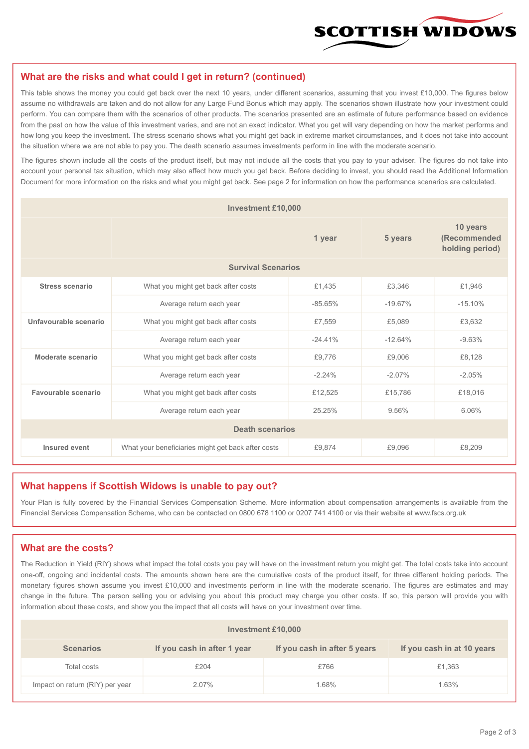

#### **What are the risks and what could I get in return? (continued)**

This table shows the money you could get back over the next 10 years, under different scenarios, assuming that you invest £10,000. The figures below assume no withdrawals are taken and do not allow for any Large Fund Bonus which may apply. The scenarios shown illustrate how your investment could perform. You can compare them with the scenarios of other products. The scenarios presented are an estimate of future performance based on evidence from the past on how the value of this investment varies, and are not an exact indicator. What you get will vary depending on how the market performs and how long you keep the investment. The stress scenario shows what you might get back in extreme market circumstances, and it does not take into account the situation where we are not able to pay you. The death scenario assumes investments perform in line with the moderate scenario.

The figures shown include all the costs of the product itself, but may not include all the costs that you pay to your adviser. The figures do not take into account your personal tax situation, which may also affect how much you get back. Before deciding to invest, you should read the Additional Information Document for more information on the risks and what you might get back. See page 2 for information on how the performance scenarios are calculated.

| <b>Investment £10,000</b> |                                                    |            |           |                                             |  |  |
|---------------------------|----------------------------------------------------|------------|-----------|---------------------------------------------|--|--|
|                           | 1 year                                             |            | 5 years   | 10 years<br>(Recommended<br>holding period) |  |  |
| <b>Survival Scenarios</b> |                                                    |            |           |                                             |  |  |
| <b>Stress scenario</b>    | What you might get back after costs                | £1,435     | £3,346    | £1,946                                      |  |  |
|                           | Average return each year                           | $-85.65\%$ | $-19.67%$ | $-15.10%$                                   |  |  |
| Unfavourable scenario     | What you might get back after costs<br>£7,559      |            | £5,089    | £3,632                                      |  |  |
|                           | Average return each year                           | $-24.41%$  | $-12.64%$ | $-9.63%$                                    |  |  |
| Moderate scenario         | What you might get back after costs                | £9,776     | £9,006    | £8,128                                      |  |  |
|                           | Average return each year                           | $-2.24%$   | $-2.07%$  | $-2.05%$                                    |  |  |
| Favourable scenario       | What you might get back after costs                | £12,525    | £15,786   | £18,016                                     |  |  |
| Average return each year  |                                                    | 25.25%     | 9.56%     | 6.06%                                       |  |  |
| <b>Death scenarios</b>    |                                                    |            |           |                                             |  |  |
| Insured event             | What your beneficiaries might get back after costs | £9,874     | £9.096    | £8,209                                      |  |  |

#### **What happens if Scottish Widows is unable to pay out?**

Your Plan is fully covered by the Financial Services Compensation Scheme. More information about compensation arrangements is available from the Financial Services Compensation Scheme, who can be contacted on 0800 678 1100 or 0207 741 4100 or via their website at www.fscs.org.uk

#### **What are the costs?**

The Reduction in Yield (RIY) shows what impact the total costs you pay will have on the investment return you might get. The total costs take into account one-off, ongoing and incidental costs. The amounts shown here are the cumulative costs of the product itself, for three different holding periods. The monetary figures shown assume you invest £10,000 and investments perform in line with the moderate scenario. The figures are estimates and may change in the future. The person selling you or advising you about this product may charge you other costs. If so, this person will provide you with information about these costs, and show you the impact that all costs will have on your investment over time.

| Investment £10,000              |                             |                              |                            |  |  |  |
|---------------------------------|-----------------------------|------------------------------|----------------------------|--|--|--|
| <b>Scenarios</b>                | If you cash in after 1 year | If you cash in after 5 years | If you cash in at 10 years |  |  |  |
| Total costs                     | £204                        | £766                         | £1,363                     |  |  |  |
| Impact on return (RIY) per year | 2.07%                       | 1.68%                        | 1.63%                      |  |  |  |